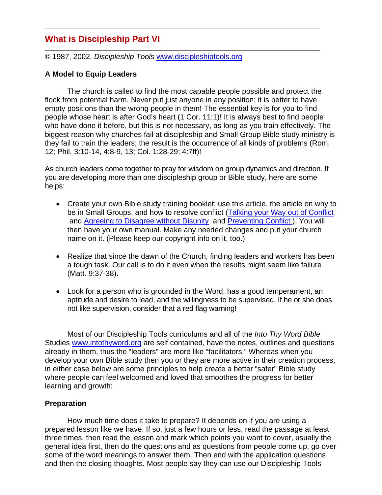# **What is Discipleship Part VI**

© 1987, 2002, *Discipleship Tools* www.discipleshiptools.org

# **A Model to Equip Leaders**

 The church is called to find the most capable people possible and protect the flock from potential harm. Never put just anyone in any position; it is better to have empty positions than the wrong people in them! The essential key is for you to find people whose heart is after God's heart (1 Cor. 11:1)! It is always best to find people who have done it before, but this is not necessary, as long as you train effectively. The biggest reason why churches fail at discipleship and Small Group Bible study ministry is they fail to train the leaders; the result is the occurrence of all kinds of problems (Rom. 12; Phil. 3:10-14, 4:8-9, 13; Col. 1:28-29; 4:7ff)!

As church leaders come together to pray for wisdom on group dynamics and direction. If you are developing more than one discipleship group or Bible study, here are some helps:

- Create your own Bible study training booklet; use this article, the article on why to be in Small Groups, and how to resolve conflict (Talking your Way out of Conflict and Agreeing to Disagree without Disunity and Preventing Conflict ). You will then have your own manual. Make any needed changes and put your church name on it. (Please keep our copyright info on it, too.)
- Realize that since the dawn of the Church, finding leaders and workers has been a tough task. Our call is to do it even when the results might seem like failure (Matt. 9:37-38).
- Look for a person who is grounded in the Word, has a good temperament, an aptitude and desire to lead, and the willingness to be supervised. If he or she does not like supervision, consider that a red flag warning!

Most of our Discipleship Tools curriculums and all of the *Into Thy Word Bible* Studies www.intothyword.org are self contained, have the notes, outlines and questions already in them, thus the "leaders" are more like "facilitators." Whereas when you develop your own Bible study then you or they are more active in their creation process, in either case below are some principles to help create a better "safer" Bible study where people can feel welcomed and loved that smoothes the progress for better learning and growth:

### **Preparation**

 How much time does it take to prepare? It depends on if you are using a prepared lesson like we have. If so, just a few hours or less, read the passage at least three times, then read the lesson and mark which points you want to cover, usually the general idea first, then do the questions and as questions from people come up, go over some of the word meanings to answer them. Then end with the application questions and then the closing thoughts. Most people say they can use our Discipleship Tools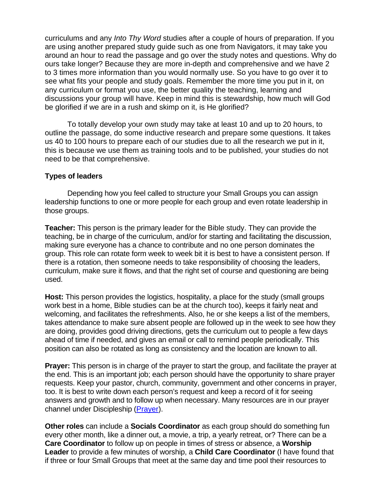curriculums and any *Into Thy Word* studies after a couple of hours of preparation. If you are using another prepared study guide such as one from Navigators, it may take you around an hour to read the passage and go over the study notes and questions. Why do ours take longer? Because they are more in-depth and comprehensive and we have 2 to 3 times more information than you would normally use. So you have to go over it to see what fits your people and study goals. Remember the more time you put in it, on any curriculum or format you use, the better quality the teaching, learning and discussions your group will have. Keep in mind this is stewardship, how much will God be glorified if we are in a rush and skimp on it, is He glorified?

 To totally develop your own study may take at least 10 and up to 20 hours, to outline the passage, do some inductive research and prepare some questions. It takes us 40 to 100 hours to prepare each of our studies due to all the research we put in it, this is because we use them as training tools and to be published, your studies do not need to be that comprehensive.

### **Types of leaders**

 Depending how you feel called to structure your Small Groups you can assign leadership functions to one or more people for each group and even rotate leadership in those groups.

**Teacher:** This person is the primary leader for the Bible study. They can provide the teaching, be in charge of the curriculum, and/or for starting and facilitating the discussion, making sure everyone has a chance to contribute and no one person dominates the group. This role can rotate form week to week bit it is best to have a consistent person. If there is a rotation, then someone needs to take responsibility of choosing the leaders, curriculum, make sure it flows, and that the right set of course and questioning are being used.

**Host:** This person provides the logistics, hospitality, a place for the study (small groups work best in a home, Bible studies can be at the church too), keeps it fairly neat and welcoming, and facilitates the refreshments. Also, he or she keeps a list of the members, takes attendance to make sure absent people are followed up in the week to see how they are doing, provides good driving directions, gets the curriculum out to people a few days ahead of time if needed, and gives an email or call to remind people periodically. This position can also be rotated as long as consistency and the location are known to all.

**Prayer:** This person is in charge of the prayer to start the group, and facilitate the prayer at the end. This is an important job; each person should have the opportunity to share prayer requests. Keep your pastor, church, community, government and other concerns in prayer, too. It is best to write down each person's request and keep a record of it for seeing answers and growth and to follow up when necessary. Many resources are in our prayer channel under Discipleship (Prayer).

**Other roles** can include a **Socials Coordinator** as each group should do something fun every other month, like a dinner out, a movie, a trip, a yearly retreat, or? There can be a **Care Coordinator** to follow up on people in times of stress or absence, a **Worship Leader** to provide a few minutes of worship, a **Child Care Coordinator** (I have found that if three or four Small Groups that meet at the same day and time pool their resources to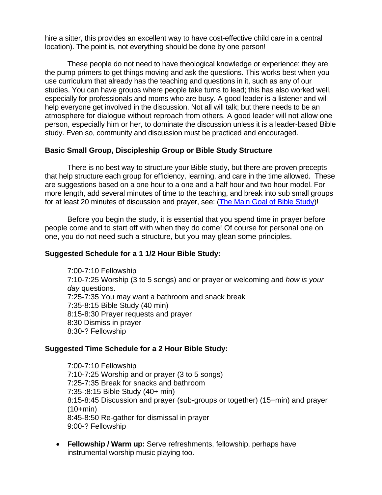hire a sitter, this provides an excellent way to have cost-effective child care in a central location). The point is, not everything should be done by one person!

These people do not need to have theological knowledge or experience; they are the pump primers to get things moving and ask the questions. This works best when you use curriculum that already has the teaching and questions in it, such as any of our studies. You can have groups where people take turns to lead; this has also worked well, especially for professionals and moms who are busy. A good leader is a listener and will help everyone get involved in the discussion. Not all will talk; but there needs to be an atmosphere for dialogue without reproach from others. A good leader will not allow one person, especially him or her, to dominate the discussion unless it is a leader-based Bible study. Even so, community and discussion must be practiced and encouraged.

## **Basic Small Group, Discipleship Group or Bible Study Structure**

There is no best way to structure your Bible study, but there are proven precepts that help structure each group for efficiency, learning, and care in the time allowed. These are suggestions based on a one hour to a one and a half hour and two hour model. For more length, add several minutes of time to the teaching, and break into sub small groups for at least 20 minutes of discussion and prayer, see: (The Main Goal of Bible Study)!

Before you begin the study, it is essential that you spend time in prayer before people come and to start off with when they do come! Of course for personal one on one, you do not need such a structure, but you may glean some principles.

# **Suggested Schedule for a 1 1/2 Hour Bible Study:**

7:00-7:10 Fellowship 7:10-7:25 Worship (3 to 5 songs) and or prayer or welcoming and *how is your day* questions. 7:25-7:35 You may want a bathroom and snack break 7:35-8:15 Bible Study (40 min) 8:15-8:30 Prayer requests and prayer 8:30 Dismiss in prayer 8:30-? Fellowship

### **Suggested Time Schedule for a 2 Hour Bible Study:**

7:00-7:10 Fellowship 7:10-7:25 Worship and or prayer (3 to 5 songs) 7:25-7:35 Break for snacks and bathroom 7:35-:8:15 Bible Study (40+ min) 8:15-8:45 Discussion and prayer (sub-groups or together) (15+min) and prayer (10+min) 8:45-8:50 Re-gather for dismissal in prayer 9:00-? Fellowship

• **Fellowship / Warm up:** Serve refreshments, fellowship, perhaps have instrumental worship music playing too.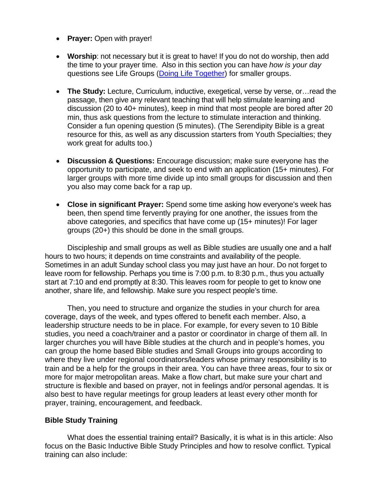- **Prayer:** Open with prayer!
- **Worship**: not necessary but it is great to have! If you do not do worship, then add the time to your prayer time. Also in this section you can have *how is your day* questions see Life Groups (Doing Life Together) for smaller groups.
- **The Study:** Lecture, Curriculum, inductive, exegetical, verse by verse, or…read the passage, then give any relevant teaching that will help stimulate learning and discussion (20 to 40+ minutes), keep in mind that most people are bored after 20 min, thus ask questions from the lecture to stimulate interaction and thinking. Consider a fun opening question (5 minutes). (The Serendipity Bible is a great resource for this, as well as any discussion starters from Youth Specialties; they work great for adults too.)
- **Discussion & Questions:** Encourage discussion; make sure everyone has the opportunity to participate, and seek to end with an application (15+ minutes). For larger groups with more time divide up into small groups for discussion and then you also may come back for a rap up.
- **Close in significant Prayer:** Spend some time asking how everyone's week has been, then spend time fervently praying for one another, the issues from the above categories, and specifics that have come up (15+ minutes)! For lager groups (20+) this should be done in the small groups.

Discipleship and small groups as well as Bible studies are usually one and a half hours to two hours; it depends on time constraints and availability of the people. Sometimes in an adult Sunday school class you may just have an hour. Do not forget to leave room for fellowship. Perhaps you time is 7:00 p.m. to 8:30 p.m., thus you actually start at 7:10 and end promptly at 8:30. This leaves room for people to get to know one another, share life, and fellowship. Make sure you respect people's time.

Then, you need to structure and organize the studies in your church for area coverage, days of the week, and types offered to benefit each member. Also, a leadership structure needs to be in place. For example, for every seven to 10 Bible studies, you need a coach/trainer and a pastor or coordinator in charge of them all. In larger churches you will have Bible studies at the church and in people's homes, you can group the home based Bible studies and Small Groups into groups according to where they live under regional coordinators/leaders whose primary responsibility is to train and be a help for the groups in their area. You can have three areas, four to six or more for major metropolitan areas. Make a flow chart, but make sure your chart and structure is flexible and based on prayer, not in feelings and/or personal agendas. It is also best to have regular meetings for group leaders at least every other month for prayer, training, encouragement, and feedback.

# **Bible Study Training**

What does the essential training entail? Basically, it is what is in this article: Also focus on the Basic Inductive Bible Study Principles and how to resolve conflict. Typical training can also include: